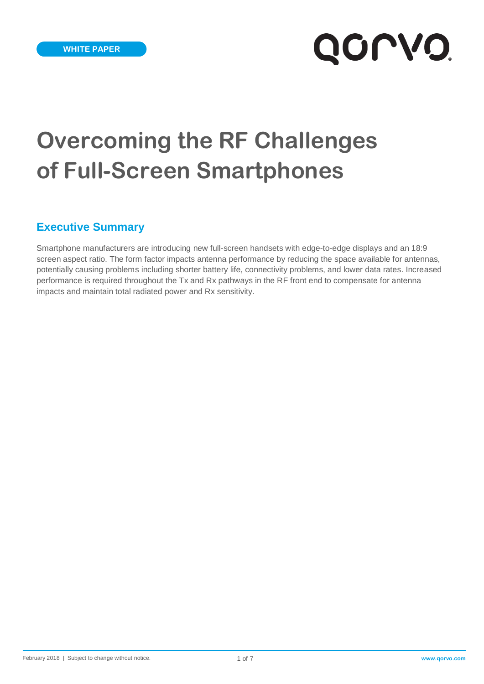# **QOLVO**

# **Overcoming the RF Challenges of Full-Screen Smartphones**

# **Executive Summary**

Smartphone manufacturers are introducing new full-screen handsets with edge-to-edge displays and an 18:9 screen aspect ratio. The form factor impacts antenna performance by reducing the space available for antennas, potentially causing problems including shorter battery life, connectivity problems, and lower data rates. Increased performance is required throughout the Tx and Rx pathways in the RF front end to compensate for antenna impacts and maintain total radiated power and Rx sensitivity.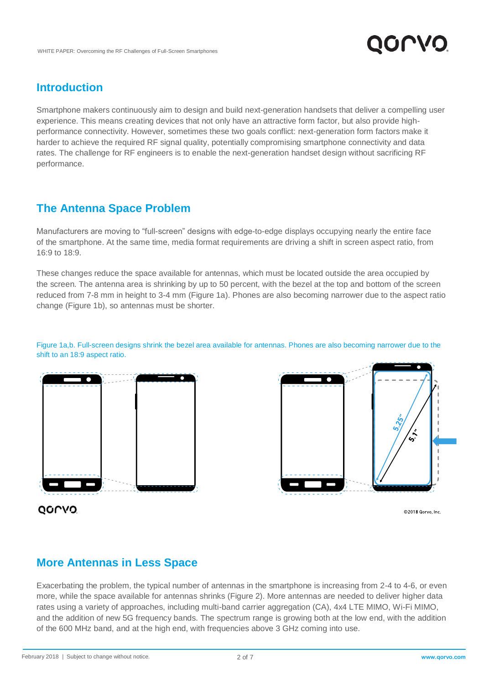

# **Introduction**

Smartphone makers continuously aim to design and build next-generation handsets that deliver a compelling user experience. This means creating devices that not only have an attractive form factor, but also provide highperformance connectivity. However, sometimes these two goals conflict: next-generation form factors make it harder to achieve the required RF signal quality, potentially compromising smartphone connectivity and data rates. The challenge for RF engineers is to enable the next-generation handset design without sacrificing RF performance.

# **The Antenna Space Problem**

Manufacturers are moving to "full-screen" designs with edge-to-edge displays occupying nearly the entire face of the smartphone. At the same time, media format requirements are driving a shift in screen aspect ratio, from 16:9 to 18:9.

These changes reduce the space available for antennas, which must be located outside the area occupied by the screen. The antenna area is shrinking by up to 50 percent, with the bezel at the top and bottom of the screen reduced from 7-8 mm in height to 3-4 mm (Figure 1a). Phones are also becoming narrower due to the aspect ratio change (Figure 1b), so antennas must be shorter.

Figure 1a,b. Full-screen designs shrink the bezel area available for antennas. Phones are also becoming narrower due to the shift to an 18:9 aspect ratio.



くぐ

QONVO

©2018 Qorvo, Inc.

# **More Antennas in Less Space**

Exacerbating the problem, the typical number of antennas in the smartphone is increasing from 2-4 to 4-6, or even more, while the space available for antennas shrinks (Figure 2). More antennas are needed to deliver higher data rates using a variety of approaches, including multi-band carrier aggregation (CA), 4x4 LTE MIMO, Wi-Fi MIMO, and the addition of new 5G frequency bands. The spectrum range is growing both at the low end, with the addition of the 600 MHz band, and at the high end, with frequencies above 3 GHz coming into use.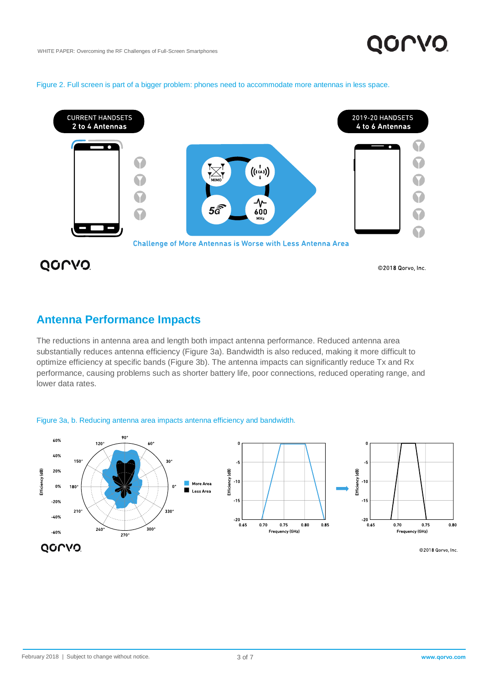#### Figure 2. Full screen is part of a bigger problem: phones need to accommodate more antennas in less space.



QOLVO

©2018 Qorvo, Inc.

### **Antenna Performance Impacts**

The reductions in antenna area and length both impact antenna performance. Reduced antenna area substantially reduces antenna efficiency (Figure 3a). Bandwidth is also reduced, making it more difficult to optimize efficiency at specific bands (Figure 3b). The antenna impacts can significantly reduce Tx and Rx performance, causing problems such as shorter battery life, poor connections, reduced operating range, and lower data rates.

#### Figure 3a, b. Reducing antenna area impacts antenna efficiency and bandwidth.

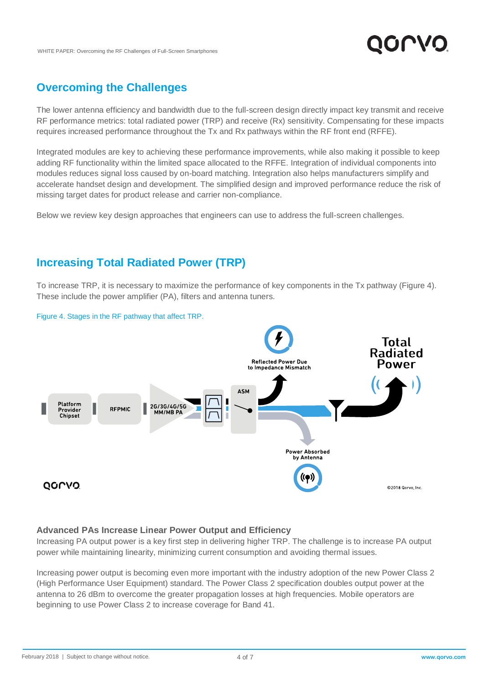# **Overcoming the Challenges**

The lower antenna efficiency and bandwidth due to the full-screen design directly impact key transmit and receive RF performance metrics: total radiated power (TRP) and receive (Rx) sensitivity. Compensating for these impacts requires increased performance throughout the Tx and Rx pathways within the RF front end (RFFE).

Integrated modules are key to achieving these performance improvements, while also making it possible to keep adding RF functionality within the limited space allocated to the RFFE. Integration of individual components into modules reduces signal loss caused by on-board matching. Integration also helps manufacturers simplify and accelerate handset design and development. The simplified design and improved performance reduce the risk of missing target dates for product release and carrier non-compliance.

Below we review key design approaches that engineers can use to address the full-screen challenges.

# **Increasing Total Radiated Power (TRP)**

To increase TRP, it is necessary to maximize the performance of key components in the Tx pathway (Figure 4). These include the power amplifier (PA), filters and antenna tuners.



#### Figure 4. Stages in the RF pathway that affect TRP.

#### **Advanced PAs Increase Linear Power Output and Efficiency**

Increasing PA output power is a key first step in delivering higher TRP. The challenge is to increase PA output power while maintaining linearity, minimizing current consumption and avoiding thermal issues.

Increasing power output is becoming even more important with the industry adoption of the new Power Class 2 (High Performance User Equipment) standard. The Power Class 2 specification doubles output power at the antenna to 26 dBm to overcome the greater propagation losses at high frequencies. Mobile operators are beginning to use Power Class 2 to increase coverage for Band 41.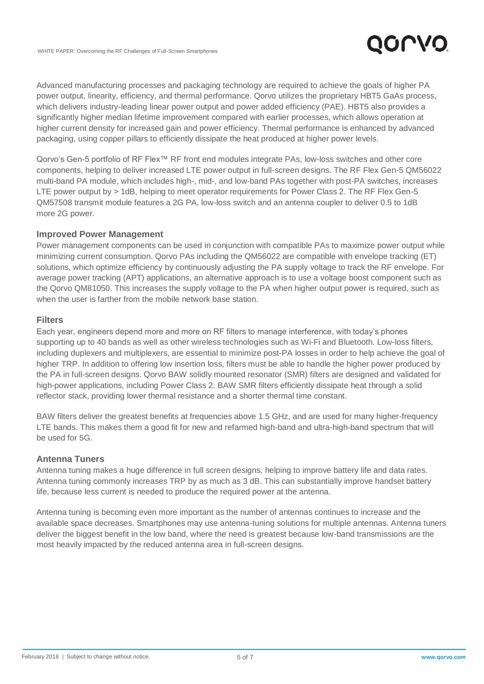

Advanced manufacturing processes and packaging technology are required to achieve the goals of higher PA power output, linearity, efficiency, and thermal performance. Qorvo utilizes the proprietary HBT5 GaAs process, which delivers industry-leading linear power output and power added efficiency (PAE). HBT5 also provides a significantly higher median lifetime improvement compared with earlier processes, which allows operation at higher current density for increased gain and power efficiency. Thermal performance is enhanced by advanced packaging, using copper pillars to efficiently dissipate the heat produced at higher power levels.

Qorvo's Gen-5 portfolio of RF Flex™ RF front end modules integrate PAs, low-loss switches and other core components, helping to deliver increased LTE power output in full-screen designs. The RF Flex Gen-5 QM56022 multi-band PA module, which includes high-, mid-, and low-band PAs together with post-PA switches, increases LTE power output by > 1dB, helping to meet operator requirements for Power Class 2. The RF Flex Gen-5 QM57508 transmit module features a 2G PA, low-loss switch and an antenna coupler to deliver 0.5 to 1dB more 2G power.

#### **Improved Power Management**

Power management components can be used in conjunction with compatible PAs to maximize power output while minimizing current consumption. Qorvo PAs including the QM56022 are compatible with envelope tracking (ET) solutions, which optimize efficiency by continuously adjusting the PA supply voltage to track the RF envelope. For average power tracking (APT) applications, an alternative approach is to use a voltage boost component such as the Qorvo QM81050. This increases the supply voltage to the PA when higher output power is required, such as when the user is farther from the mobile network base station.

#### **Filters**

Each year, engineers depend more and more on RF filters to manage interference, with today's phones supporting up to 40 bands as well as other wireless technologies such as Wi-Fi and Bluetooth. Low-loss filters, including duplexers and multiplexers, are essential to minimize post-PA losses in order to help achieve the goal of higher TRP. In addition to offering low insertion loss, filters must be able to handle the higher power produced by the PA in full-screen designs. Qorvo BAW solidly mounted resonator (SMR) filters are designed and validated for high-power applications, including Power Class 2. BAW SMR filters efficiently dissipate heat through a solid reflector stack, providing lower thermal resistance and a shorter thermal time constant.

BAW filters deliver the greatest benefits at frequencies above 1.5 GHz, and are used for many higher-frequency LTE bands. This makes them a good fit for new and refarmed high-band and ultra-high-band spectrum that will be used for 5G.

#### **Antenna Tuners**

Antenna tuning makes a huge difference in full screen designs, helping to improve battery life and data rates. Antenna tuning commonly increases TRP by as much as 3 dB. This can substantially improve handset battery life, because less current is needed to produce the required power at the antenna.

Antenna tuning is becoming even more important as the number of antennas continues to increase and the available space decreases. Smartphones may use antenna-tuning solutions for multiple antennas. Antenna tuners deliver the biggest benefit in the low band, where the need is greatest because low-band transmissions are the most heavily impacted by the reduced antenna area in full-screen designs.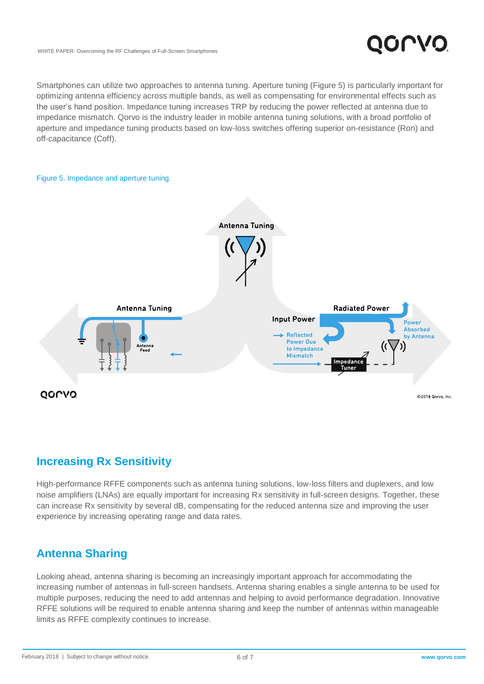

Smartphones can utilize two approaches to antenna tuning. Aperture tuning (Figure 5) is particularly important for optimizing antenna efficiency across multiple bands, as well as compensating for environmental effects such as the user's hand position. Impedance tuning increases TRP by reducing the power reflected at antenna due to impedance mismatch. Qorvo is the industry leader in mobile antenna tuning solutions, with a broad portfolio of aperture and impedance tuning products based on low-loss switches offering superior on-resistance (Ron) and off-capacitance (Coff).

# Figure 5. Impedance and aperture tuning. **Antenna Tuning Antenna Tuning Radiated Power Input Power** Power Absorbed **Reflected** by Antenna **Power Due** to Impedance **Mismatch** Tune QOCVO ©2018 Qorvo, Inc

# **Increasing Rx Sensitivity**

High-performance RFFE components such as antenna tuning solutions, low-loss filters and duplexers, and low noise amplifiers (LNAs) are equally important for increasing Rx sensitivity in full-screen designs. Together, these can increase Rx sensitivity by several dB, compensating for the reduced antenna size and improving the user experience by increasing operating range and data rates.

# **Antenna Sharing**

Looking ahead, antenna sharing is becoming an increasingly important approach for accommodating the increasing number of antennas in full-screen handsets. Antenna sharing enables a single antenna to be used for multiple purposes, reducing the need to add antennas and helping to avoid performance degradation. Innovative RFFE solutions will be required to enable antenna sharing and keep the number of antennas within manageable limits as RFFE complexity continues to increase.